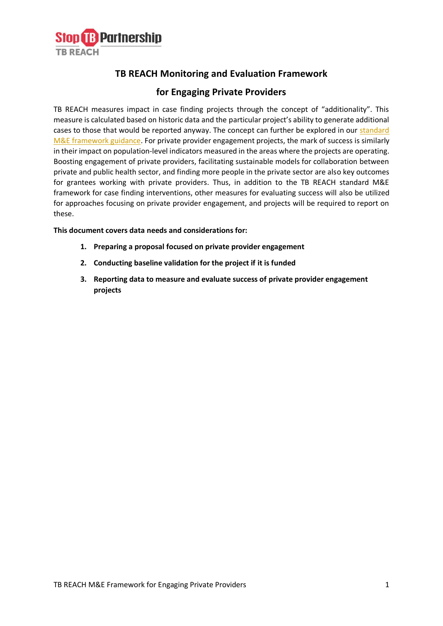

## **TB REACH Monitoring and Evaluation Framework**

## **for Engaging Private Providers**

TB REACH measures impact in case finding projects through the concept of "additionality". This measure is calculated based on historic data and the particular project's ability to generate additional cases to those that would be reported anyway. The concept can further be explored in our standard [M&E framework guidance.](http://www.stoptb.org/assets/documents/global/awards/tbreach/W7_M_and_E.pdf) For private provider engagement projects, the mark of success is similarly in their impact on population-level indicators measured in the areas where the projects are operating. Boosting engagement of private providers, facilitating sustainable models for collaboration between private and public health sector, and finding more people in the private sector are also key outcomes for grantees working with private providers. Thus, in addition to the TB REACH standard M&E framework for case finding interventions, other measures for evaluating success will also be utilized for approaches focusing on private provider engagement, and projects will be required to report on these.

#### **This document covers data needs and considerations for:**

- **1. Preparing a proposal focused on private provider engagement**
- **2. Conducting baseline validation for the project if it is funded**
- **3. Reporting data to measure and evaluate success of private provider engagement projects**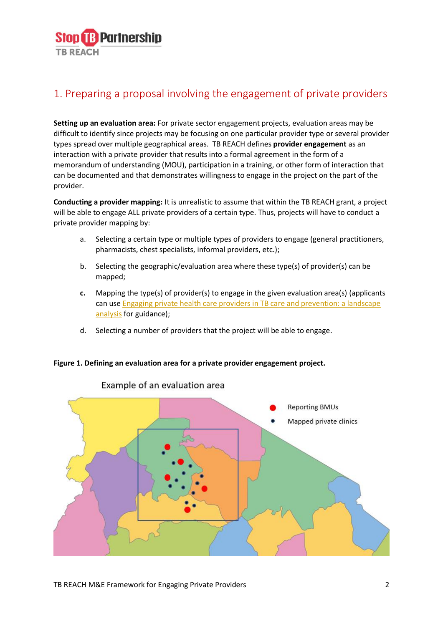

# 1. Preparing a proposal involving the engagement of private providers

**Setting up an evaluation area:** For private sector engagement projects, evaluation areas may be difficult to identify since projects may be focusing on one particular provider type or several provider types spread over multiple geographical areas. TB REACH defines **provider engagement** as an interaction with a private provider that results into a formal agreement in the form of a memorandum of understanding (MOU), participation in a training, or other form of interaction that can be documented and that demonstrates willingness to engage in the project on the part of the provider.

**Conducting a provider mapping:** It is unrealistic to assume that within the TB REACH grant, a project will be able to engage ALL private providers of a certain type. Thus, projects will have to conduct a private provider mapping by:

- a. Selecting a certain type or multiple types of providers to engage (general practitioners, pharmacists, chest specialists, informal providers, etc.);
- b. Selecting the geographic/evaluation area where these type(s) of provider(s) can be mapped;
- **c.** Mapping the type(s) of provider(s) to engage in the given evaluation area(s) (applicants can use **Engaging private health care providers in TB care and prevention: a landscape** [analysis](https://www.who.int/tb/publications/2018/PPMlandscape/en/) for guidance);
- d. Selecting a number of providers that the project will be able to engage.

#### **Figure 1. Defining an evaluation area for a private provider engagement project.**



### Example of an evaluation area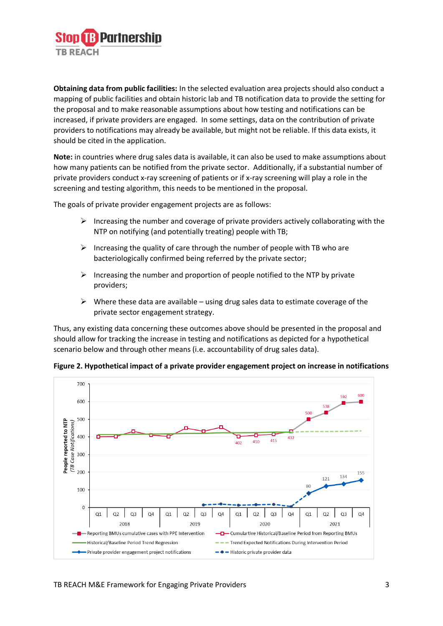

**Obtaining data from public facilities:** In the selected evaluation area projects should also conduct a mapping of public facilities and obtain historic lab and TB notification data to provide the setting for the proposal and to make reasonable assumptions about how testing and notifications can be increased, if private providers are engaged. In some settings, data on the contribution of private providers to notifications may already be available, but might not be reliable. If this data exists, it should be cited in the application.

**Note:** in countries where drug sales data is available, it can also be used to make assumptions about how many patients can be notified from the private sector. Additionally, if a substantial number of private providers conduct x-ray screening of patients or if x-ray screening will play a role in the screening and testing algorithm, this needs to be mentioned in the proposal.

The goals of private provider engagement projects are as follows:

- $\triangleright$  Increasing the number and coverage of private providers actively collaborating with the NTP on notifying (and potentially treating) people with TB;
- $\triangleright$  Increasing the quality of care through the number of people with TB who are bacteriologically confirmed being referred by the private sector;
- $\triangleright$  Increasing the number and proportion of people notified to the NTP by private providers;
- $\triangleright$  Where these data are available using drug sales data to estimate coverage of the private sector engagement strategy.

Thus, any existing data concerning these outcomes above should be presented in the proposal and should allow for tracking the increase in testing and notifications as depicted for a hypothetical scenario below and through other means (i.e. accountability of drug sales data).



**Figure 2. Hypothetical impact of a private provider engagement project on increase in notifications**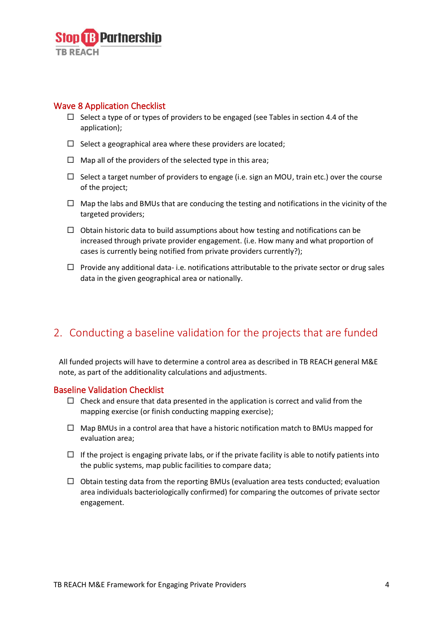

## Wave 8 Application Checklist

- $\Box$  Select a type of or types of providers to be engaged (see Tables in section 4.4 of the application);
- $\square$  Select a geographical area where these providers are located;
- $\Box$  Map all of the providers of the selected type in this area;
- $\Box$  Select a target number of providers to engage (i.e. sign an MOU, train etc.) over the course of the project;
- $\Box$  Map the labs and BMUs that are conducing the testing and notifications in the vicinity of the targeted providers;
- $\Box$  Obtain historic data to build assumptions about how testing and notifications can be increased through private provider engagement. (i.e. How many and what proportion of cases is currently being notified from private providers currently?);
- $\Box$  Provide any additional data- i.e. notifications attributable to the private sector or drug sales data in the given geographical area or nationally.

## 2. Conducting a baseline validation for the projects that are funded

All funded projects will have to determine a control area as described in TB REACH general M&E note, as part of the additionality calculations and adjustments.

#### Baseline Validation Checklist

- $\Box$  Check and ensure that data presented in the application is correct and valid from the mapping exercise (or finish conducting mapping exercise);
- $\Box$  Map BMUs in a control area that have a historic notification match to BMUs mapped for evaluation area;
- $\Box$  If the project is engaging private labs, or if the private facility is able to notify patients into the public systems, map public facilities to compare data;
- $\Box$  Obtain testing data from the reporting BMUs (evaluation area tests conducted; evaluation area individuals bacteriologically confirmed) for comparing the outcomes of private sector engagement.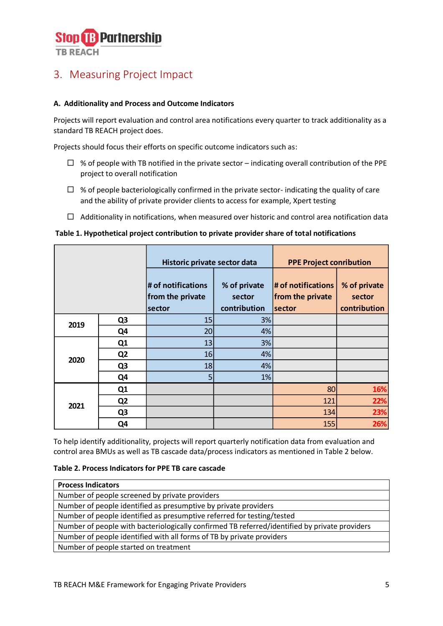

# 3. Measuring Project Impact

### **A. Additionality and Process and Outcome Indicators**

Projects will report evaluation and control area notifications every quarter to track additionality as a standard TB REACH project does.

Projects should focus their efforts on specific outcome indicators such as:

- $\Box$  % of people with TB notified in the private sector indicating overall contribution of the PPE project to overall notification
- $\Box$  % of people bacteriologically confirmed in the private sector- indicating the quality of care and the ability of private provider clients to access for example, Xpert testing
- $\Box$  Additionality in notifications, when measured over historic and control area notification data

#### **Table 1. Hypothetical project contribution to private provider share of total notifications**

|      |                | Historic private sector data                     |                                        | <b>PPE Project conribution</b>                            |                                        |
|------|----------------|--------------------------------------------------|----------------------------------------|-----------------------------------------------------------|----------------------------------------|
|      |                | # of notifications<br>from the private<br>sector | % of private<br>sector<br>contribution | $#$ of notifications<br>from the private<br><b>sector</b> | % of private<br>sector<br>contribution |
| 2019 | Q <sub>3</sub> | 15                                               | 3%                                     |                                                           |                                        |
|      | Q4             | 20                                               | 4%                                     |                                                           |                                        |
| 2020 | Q1             | 13                                               | 3%                                     |                                                           |                                        |
|      | Q <sub>2</sub> | 16                                               | 4%                                     |                                                           |                                        |
|      | Q <sub>3</sub> | 18                                               | 4%                                     |                                                           |                                        |
|      | Q <sub>4</sub> | 5                                                | 1%                                     |                                                           |                                        |
| 2021 | Q1             |                                                  |                                        | 80                                                        | 16%                                    |
|      | Q <sub>2</sub> |                                                  |                                        | 121                                                       | 22%                                    |
|      | Q <sub>3</sub> |                                                  |                                        | 134                                                       | 23%                                    |
|      | Q4             |                                                  |                                        | 155                                                       | 26%                                    |

To help identify additionality, projects will report quarterly notification data from evaluation and control area BMUs as well as TB cascade data/process indicators as mentioned in Table 2 below.

## **Table 2. Process Indicators for PPE TB care cascade**

| <b>Process Indicators</b>                                                                     |  |  |  |  |
|-----------------------------------------------------------------------------------------------|--|--|--|--|
| Number of people screened by private providers                                                |  |  |  |  |
| Number of people identified as presumptive by private providers                               |  |  |  |  |
| Number of people identified as presumptive referred for testing/tested                        |  |  |  |  |
| Number of people with bacteriologically confirmed TB referred/identified by private providers |  |  |  |  |
| Number of people identified with all forms of TB by private providers                         |  |  |  |  |
| Number of people started on treatment                                                         |  |  |  |  |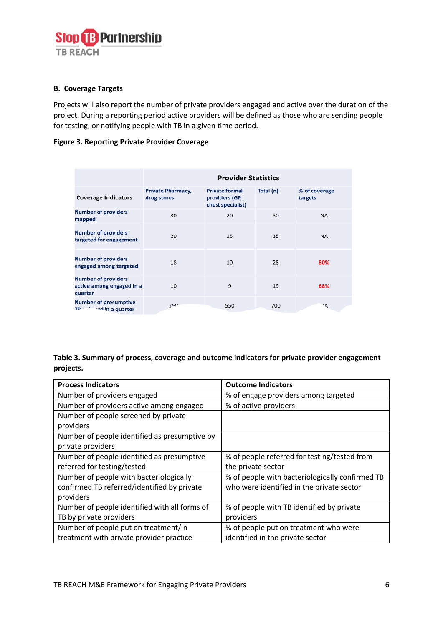

#### **B. Coverage Targets**

Projects will also report the number of private providers engaged and active over the duration of the project. During a reporting period active providers will be defined as those who are sending people for testing, or notifying people with TB in a given time period.

## **Figure 3. Reporting Private Provider Coverage**

|                                                                    | <b>Provider Statistics</b>              |                                                              |           |                          |
|--------------------------------------------------------------------|-----------------------------------------|--------------------------------------------------------------|-----------|--------------------------|
| <b>Coverage Indicators</b>                                         | <b>Private Pharmacy,</b><br>drug stores | <b>Private formal</b><br>providers (GP,<br>chest specialist) | Total (n) | % of coverage<br>targets |
| <b>Number of providers</b><br>mapped                               | 30                                      | 20                                                           | 50        | NA                       |
| <b>Number of providers</b><br>targeted for engagement              | 20                                      | 15                                                           | 35        | <b>NA</b>                |
| <b>Number of providers</b><br>engaged among targeted               | 18                                      | 10                                                           | 28        | 80%                      |
| <b>Number of providers</b><br>active among engaged in a<br>quarter | 10                                      | 9                                                            | 19        | 68%                      |
| <b>Number of presumptive</b><br>and in a quarter<br>TP-            | 250                                     | 550                                                          | 700       | $A^+$                    |

**Table 3. Summary of process, coverage and outcome indicators for private provider engagement projects.** 

| <b>Process Indicators</b>                     | <b>Outcome Indicators</b>                       |  |  |
|-----------------------------------------------|-------------------------------------------------|--|--|
| Number of providers engaged                   | % of engage providers among targeted            |  |  |
| Number of providers active among engaged      | % of active providers                           |  |  |
| Number of people screened by private          |                                                 |  |  |
| providers                                     |                                                 |  |  |
| Number of people identified as presumptive by |                                                 |  |  |
| private providers                             |                                                 |  |  |
| Number of people identified as presumptive    | % of people referred for testing/tested from    |  |  |
| referred for testing/tested                   | the private sector                              |  |  |
| Number of people with bacteriologically       | % of people with bacteriologically confirmed TB |  |  |
| confirmed TB referred/identified by private   | who were identified in the private sector       |  |  |
| providers                                     |                                                 |  |  |
| Number of people identified with all forms of | % of people with TB identified by private       |  |  |
| TB by private providers                       | providers                                       |  |  |
| Number of people put on treatment/in          | % of people put on treatment who were           |  |  |
| treatment with private provider practice      | identified in the private sector                |  |  |